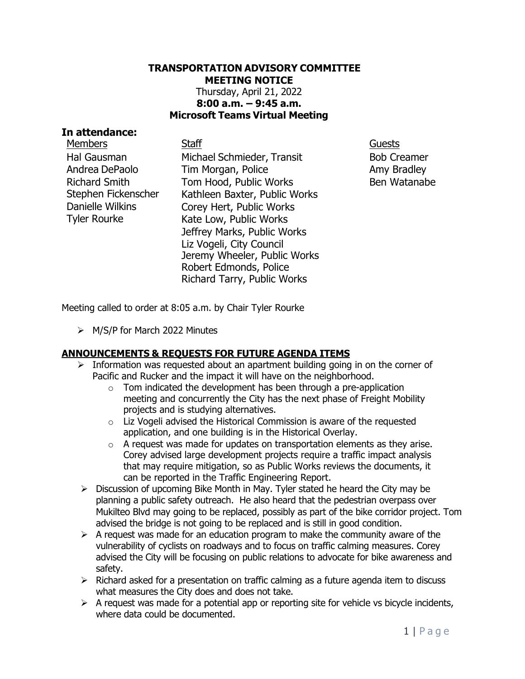# **TRANSPORTATION ADVISORY COMMITTEE MEETING NOTICE** Thursday, April 21, 2022 **8:00 a.m. – 9:45 a.m. Microsoft Teams Virtual Meeting**

### **In attendance:**

Members Staff Guests Hal Gausman Andrea DePaolo Richard Smith Stephen Fickenscher Danielle Wilkins Tyler Rourke

Michael Schmieder, Transit Tim Morgan, Police Tom Hood, Public Works Kathleen Baxter, Public Works Corey Hert, Public Works Kate Low, Public Works Jeffrey Marks, Public Works Liz Vogeli, City Council Jeremy Wheeler, Public Works Robert Edmonds, Police Richard Tarry, Public Works

Bob Creamer Amy Bradley Ben Watanabe

Meeting called to order at 8:05 a.m. by Chair Tyler Rourke

➢ M/S/P for March 2022 Minutes

# **ANNOUNCEMENTS & REQUESTS FOR FUTURE AGENDA ITEMS**

- $\triangleright$  Information was requested about an apartment building going in on the corner of Pacific and Rucker and the impact it will have on the neighborhood.
	- $\circ$  Tom indicated the development has been through a pre-application meeting and concurrently the City has the next phase of Freight Mobility projects and is studying alternatives.
	- o Liz Vogeli advised the Historical Commission is aware of the requested application, and one building is in the Historical Overlay.
	- $\circ$  A request was made for updates on transportation elements as they arise. Corey advised large development projects require a traffic impact analysis that may require mitigation, so as Public Works reviews the documents, it can be reported in the Traffic Engineering Report.
- $\triangleright$  Discussion of upcoming Bike Month in May. Tyler stated he heard the City may be planning a public safety outreach. He also heard that the pedestrian overpass over Mukilteo Blvd may going to be replaced, possibly as part of the bike corridor project. Tom advised the bridge is not going to be replaced and is still in good condition.
- $\triangleright$  A request was made for an education program to make the community aware of the vulnerability of cyclists on roadways and to focus on traffic calming measures. Corey advised the City will be focusing on public relations to advocate for bike awareness and safety.
- $\triangleright$  Richard asked for a presentation on traffic calming as a future agenda item to discuss what measures the City does and does not take.
- $\triangleright$  A request was made for a potential app or reporting site for vehicle vs bicycle incidents, where data could be documented.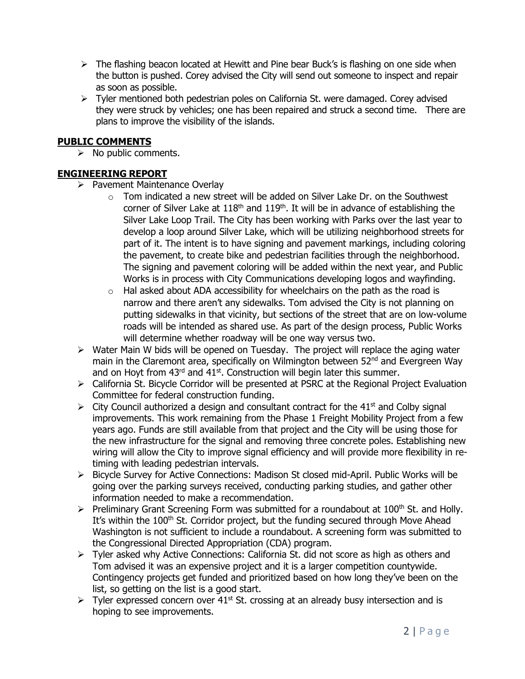- $\triangleright$  The flashing beacon located at Hewitt and Pine bear Buck's is flashing on one side when the button is pushed. Corey advised the City will send out someone to inspect and repair as soon as possible.
- $\triangleright$  Tyler mentioned both pedestrian poles on California St. were damaged. Corey advised they were struck by vehicles; one has been repaired and struck a second time. There are plans to improve the visibility of the islands.

#### **PUBLIC COMMENTS**

 $\triangleright$  No public comments.

# **ENGINEERING REPORT**

- ➢ Pavement Maintenance Overlay
	- $\circ$  Tom indicated a new street will be added on Silver Lake Dr. on the Southwest corner of Silver Lake at  $118<sup>th</sup>$  and  $119<sup>th</sup>$ . It will be in advance of establishing the Silver Lake Loop Trail. The City has been working with Parks over the last year to develop a loop around Silver Lake, which will be utilizing neighborhood streets for part of it. The intent is to have signing and pavement markings, including coloring the pavement, to create bike and pedestrian facilities through the neighborhood. The signing and pavement coloring will be added within the next year, and Public Works is in process with City Communications developing logos and wayfinding.
	- $\circ$  Hal asked about ADA accessibility for wheelchairs on the path as the road is narrow and there aren't any sidewalks. Tom advised the City is not planning on putting sidewalks in that vicinity, but sections of the street that are on low-volume roads will be intended as shared use. As part of the design process, Public Works will determine whether roadway will be one way versus two.
- ➢ Water Main W bids will be opened on Tuesday. The project will replace the aging water main in the Claremont area, specifically on Wilmington between 52<sup>nd</sup> and Evergreen Way and on Hoyt from  $43<sup>rd</sup>$  and  $41<sup>st</sup>$ . Construction will begin later this summer.
- ➢ California St. Bicycle Corridor will be presented at PSRC at the Regional Project Evaluation Committee for federal construction funding.
- $\triangleright$  City Council authorized a design and consultant contract for the 41<sup>st</sup> and Colby signal improvements. This work remaining from the Phase 1 Freight Mobility Project from a few years ago. Funds are still available from that project and the City will be using those for the new infrastructure for the signal and removing three concrete poles. Establishing new wiring will allow the City to improve signal efficiency and will provide more flexibility in retiming with leading pedestrian intervals.
- ➢ Bicycle Survey for Active Connections: Madison St closed mid-April. Public Works will be going over the parking surveys received, conducting parking studies, and gather other information needed to make a recommendation.
- ➢ Preliminary Grant Screening Form was submitted for a roundabout at 100th St. and Holly. It's within the 100<sup>th</sup> St. Corridor project, but the funding secured through Move Ahead Washington is not sufficient to include a roundabout. A screening form was submitted to the Congressional Directed Appropriation (CDA) program.
- ➢ Tyler asked why Active Connections: California St. did not score as high as others and Tom advised it was an expensive project and it is a larger competition countywide. Contingency projects get funded and prioritized based on how long they've been on the list, so getting on the list is a good start.
- $\triangleright$  Tyler expressed concern over 41<sup>st</sup> St. crossing at an already busy intersection and is hoping to see improvements.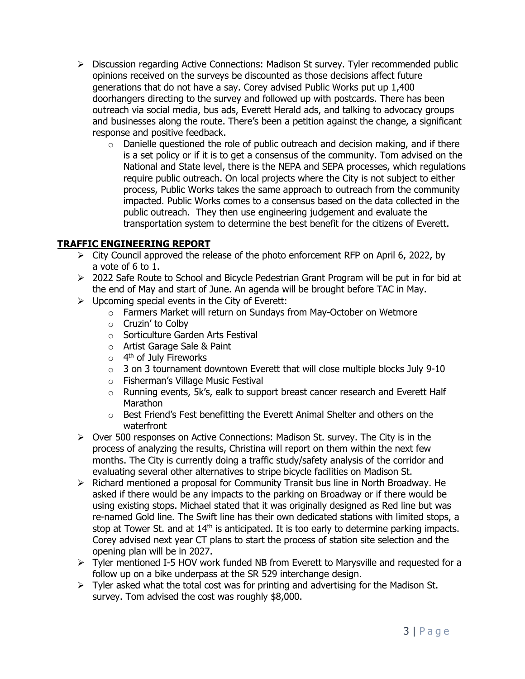- $\triangleright$  Discussion regarding Active Connections: Madison St survey. Tyler recommended public opinions received on the surveys be discounted as those decisions affect future generations that do not have a say. Corey advised Public Works put up 1,400 doorhangers directing to the survey and followed up with postcards. There has been outreach via social media, bus ads, Everett Herald ads, and talking to advocacy groups and businesses along the route. There's been a petition against the change, a significant response and positive feedback.
	- $\circ$  Danielle questioned the role of public outreach and decision making, and if there is a set policy or if it is to get a consensus of the community. Tom advised on the National and State level, there is the NEPA and SEPA processes, which regulations require public outreach. On local projects where the City is not subject to either process, Public Works takes the same approach to outreach from the community impacted. Public Works comes to a consensus based on the data collected in the public outreach. They then use engineering judgement and evaluate the transportation system to determine the best benefit for the citizens of Everett.

# **TRAFFIC ENGINEERING REPORT**

- $\triangleright$  City Council approved the release of the photo enforcement RFP on April 6, 2022, by a vote of 6 to 1.
- ➢ 2022 Safe Route to School and Bicycle Pedestrian Grant Program will be put in for bid at the end of May and start of June. An agenda will be brought before TAC in May.
- $\triangleright$  Upcoming special events in the City of Everett:
	- o Farmers Market will return on Sundays from May-October on Wetmore
	- o Cruzin' to Colby
	- o Sorticulture Garden Arts Festival
	- o Artist Garage Sale & Paint
	- o 4<sup>th</sup> of July Fireworks
	- $\circ$  3 on 3 tournament downtown Everett that will close multiple blocks July 9-10
	- o Fisherman's Village Music Festival
	- $\circ$  Running events, 5k's, ealk to support breast cancer research and Everett Half Marathon
	- o Best Friend's Fest benefitting the Everett Animal Shelter and others on the waterfront
- $\triangleright$  Over 500 responses on Active Connections: Madison St. survey. The City is in the process of analyzing the results, Christina will report on them within the next few months. The City is currently doing a traffic study/safety analysis of the corridor and evaluating several other alternatives to stripe bicycle facilities on Madison St.
- $\triangleright$  Richard mentioned a proposal for Community Transit bus line in North Broadway. He asked if there would be any impacts to the parking on Broadway or if there would be using existing stops. Michael stated that it was originally designed as Red line but was re-named Gold line. The Swift line has their own dedicated stations with limited stops, a stop at Tower St. and at  $14<sup>th</sup>$  is anticipated. It is too early to determine parking impacts. Corey advised next year CT plans to start the process of station site selection and the opening plan will be in 2027.
- ➢ Tyler mentioned I-5 HOV work funded NB from Everett to Marysville and requested for a follow up on a bike underpass at the SR 529 interchange design.
- $\triangleright$  Tyler asked what the total cost was for printing and advertising for the Madison St. survey. Tom advised the cost was roughly \$8,000.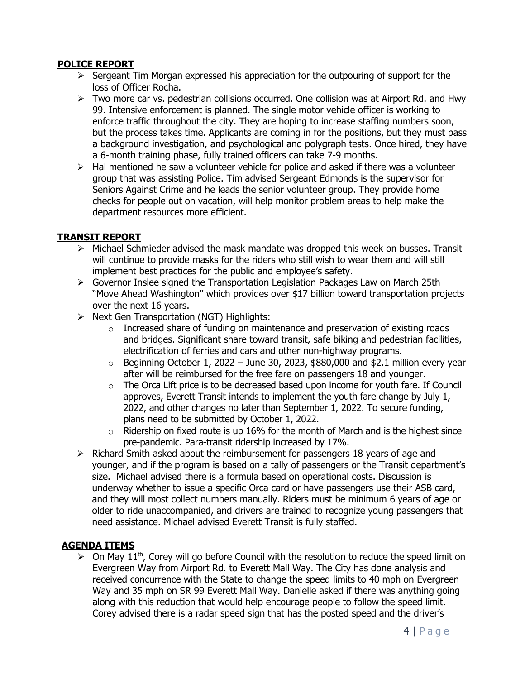# **POLICE REPORT**

- ➢ Sergeant Tim Morgan expressed his appreciation for the outpouring of support for the loss of Officer Rocha.
- ➢ Two more car vs. pedestrian collisions occurred. One collision was at Airport Rd. and Hwy 99. Intensive enforcement is planned. The single motor vehicle officer is working to enforce traffic throughout the city. They are hoping to increase staffing numbers soon, but the process takes time. Applicants are coming in for the positions, but they must pass a background investigation, and psychological and polygraph tests. Once hired, they have a 6-month training phase, fully trained officers can take 7-9 months.
- $\triangleright$  Hal mentioned he saw a volunteer vehicle for police and asked if there was a volunteer group that was assisting Police. Tim advised Sergeant Edmonds is the supervisor for Seniors Against Crime and he leads the senior volunteer group. They provide home checks for people out on vacation, will help monitor problem areas to help make the department resources more efficient.

# **TRANSIT REPORT**

- $\triangleright$  Michael Schmieder advised the mask mandate was dropped this week on busses. Transit will continue to provide masks for the riders who still wish to wear them and will still implement best practices for the public and employee's safety.
- ➢ Governor Inslee signed the Transportation Legislation Packages Law on March 25th "Move Ahead Washington" which provides over \$17 billion toward transportation projects over the next 16 years.
- ➢ Next Gen Transportation (NGT) Highlights:
	- $\circ$  Increased share of funding on maintenance and preservation of existing roads and bridges. Significant share toward transit, safe biking and pedestrian facilities, electrification of ferries and cars and other non-highway programs.
	- $\circ$  Beginning October 1, 2022 June 30, 2023, \$880,000 and \$2.1 million every year after will be reimbursed for the free fare on passengers 18 and younger.
	- $\circ$  The Orca Lift price is to be decreased based upon income for youth fare. If Council approves, Everett Transit intends to implement the youth fare change by July 1, 2022, and other changes no later than September 1, 2022. To secure funding, plans need to be submitted by October 1, 2022.
	- $\circ$  Ridership on fixed route is up 16% for the month of March and is the highest since pre-pandemic. Para-transit ridership increased by 17%.
- ➢ Richard Smith asked about the reimbursement for passengers 18 years of age and younger, and if the program is based on a tally of passengers or the Transit department's size. Michael advised there is a formula based on operational costs. Discussion is underway whether to issue a specific Orca card or have passengers use their ASB card, and they will most collect numbers manually. Riders must be minimum 6 years of age or older to ride unaccompanied, and drivers are trained to recognize young passengers that need assistance. Michael advised Everett Transit is fully staffed.

# **AGENDA ITEMS**

 $\triangleright$  On May 11<sup>th</sup>, Corey will go before Council with the resolution to reduce the speed limit on Evergreen Way from Airport Rd. to Everett Mall Way. The City has done analysis and received concurrence with the State to change the speed limits to 40 mph on Evergreen Way and 35 mph on SR 99 Everett Mall Way. Danielle asked if there was anything going along with this reduction that would help encourage people to follow the speed limit. Corey advised there is a radar speed sign that has the posted speed and the driver's